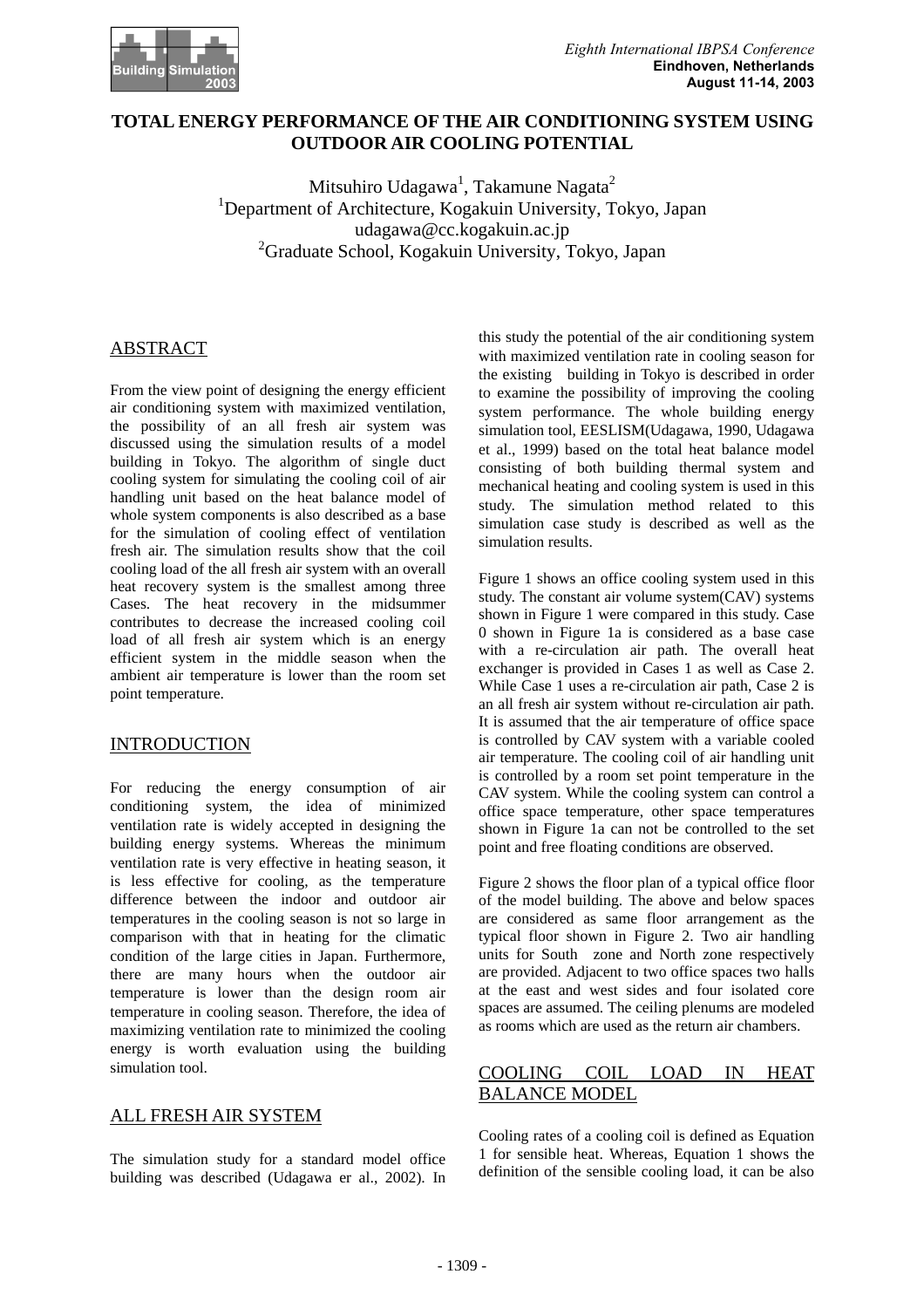

## **TOTAL ENERGY PERFORMANCE OF THE AIR CONDITIONING SYSTEM USING OUTDOOR AIR COOLING POTENTIAL**

Mitsuhiro Udagawa<sup>1</sup>, Takamune Nagata<sup>2</sup> <sup>1</sup>Department of Architecture, Kogakuin University, Tokyo, Japan udagawa@cc.kogakuin.ac.jp 2 Graduate School, Kogakuin University, Tokyo, Japan

## ABSTRACT

From the view point of designing the energy efficient air conditioning system with maximized ventilation, the possibility of an all fresh air system was discussed using the simulation results of a model building in Tokyo. The algorithm of single duct cooling system for simulating the cooling coil of air handling unit based on the heat balance model of whole system components is also described as a base for the simulation of cooling effect of ventilation fresh air. The simulation results show that the coil cooling load of the all fresh air system with an overall heat recovery system is the smallest among three Cases. The heat recovery in the midsummer contributes to decrease the increased cooling coil load of all fresh air system which is an energy efficient system in the middle season when the ambient air temperature is lower than the room set point temperature.

#### **INTRODUCTION**

For reducing the energy consumption of air conditioning system, the idea of minimized ventilation rate is widely accepted in designing the building energy systems. Whereas the minimum ventilation rate is very effective in heating season, it is less effective for cooling, as the temperature difference between the indoor and outdoor air temperatures in the cooling season is not so large in comparison with that in heating for the climatic condition of the large cities in Japan. Furthermore, there are many hours when the outdoor air temperature is lower than the design room air temperature in cooling season. Therefore, the idea of maximizing ventilation rate to minimized the cooling energy is worth evaluation using the building simulation tool.

#### ALL FRESH AIR SYSTEM

The simulation study for a standard model office building was described (Udagawa er al., 2002). In

this study the potential of the air conditioning system with maximized ventilation rate in cooling season for the existing building in Tokyo is described in order to examine the possibility of improving the cooling system performance. The whole building energy simulation tool, EESLISM(Udagawa, 1990, Udagawa et al., 1999) based on the total heat balance model consisting of both building thermal system and mechanical heating and cooling system is used in this study. The simulation method related to this simulation case study is described as well as the simulation results.

Figure 1 shows an office cooling system used in this study. The constant air volume system(CAV) systems shown in Figure 1 were compared in this study. Case 0 shown in Figure 1a is considered as a base case with a re-circulation air path. The overall heat exchanger is provided in Cases 1 as well as Case 2. While Case 1 uses a re-circulation air path, Case 2 is an all fresh air system without re-circulation air path. It is assumed that the air temperature of office space is controlled by CAV system with a variable cooled air temperature. The cooling coil of air handling unit is controlled by a room set point temperature in the CAV system. While the cooling system can control a office space temperature, other space temperatures shown in Figure 1a can not be controlled to the set point and free floating conditions are observed.

Figure 2 shows the floor plan of a typical office floor of the model building. The above and below spaces are considered as same floor arrangement as the typical floor shown in Figure 2. Two air handling units for South zone and North zone respectively are provided. Adjacent to two office spaces two halls at the east and west sides and four isolated core spaces are assumed. The ceiling plenums are modeled as rooms which are used as the return air chambers.

# COOLING COIL LOAD IN HEAT BALANCE MODEL

Cooling rates of a cooling coil is defined as Equation 1 for sensible heat. Whereas, Equation 1 shows the definition of the sensible cooling load, it can be also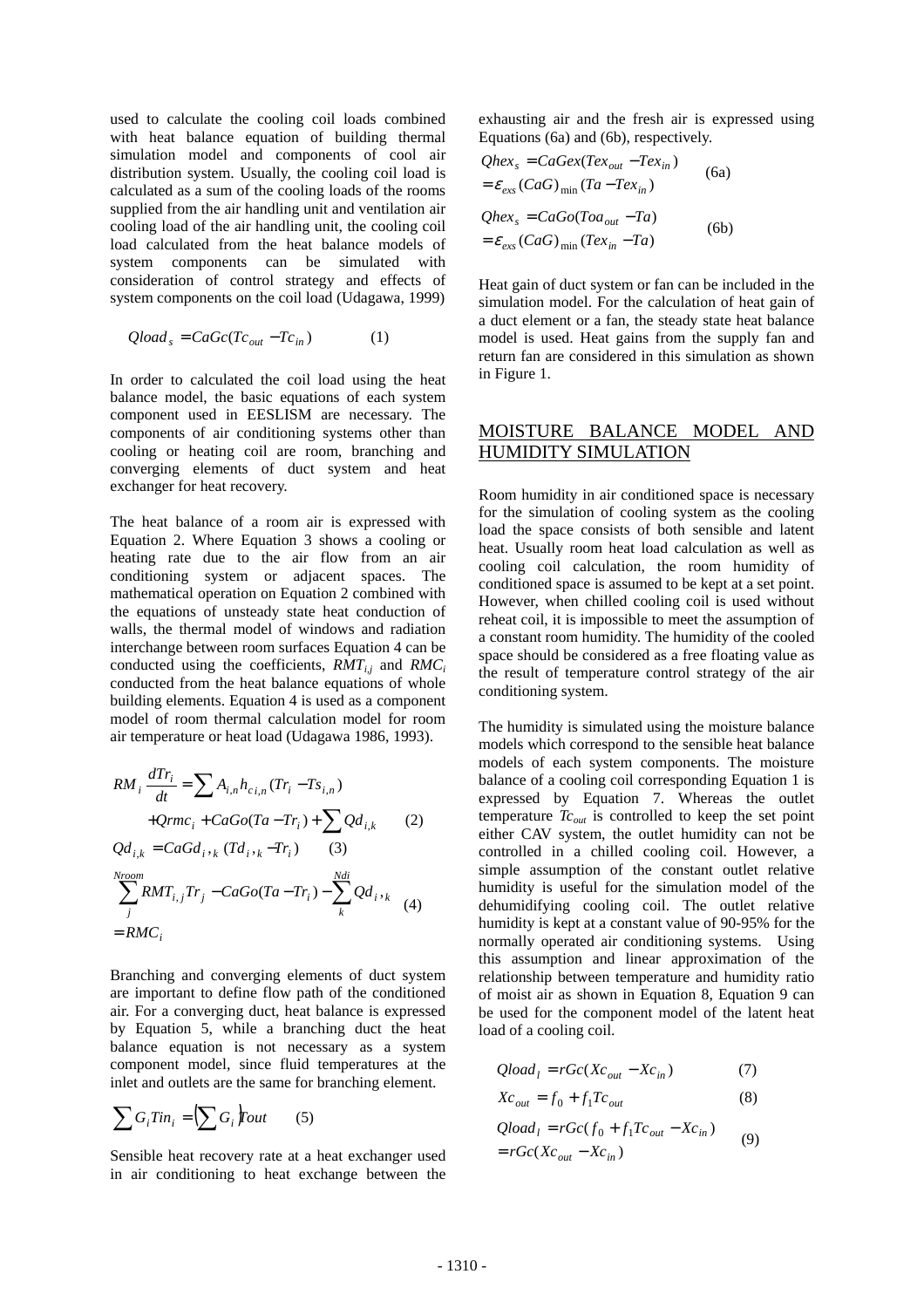used to calculate the cooling coil loads combined with heat balance equation of building thermal simulation model and components of cool air distribution system. Usually, the cooling coil load is calculated as a sum of the cooling loads of the rooms supplied from the air handling unit and ventilation air cooling load of the air handling unit, the cooling coil load calculated from the heat balance models of system components can be simulated with consideration of control strategy and effects of system components on the coil load (Udagawa, 1999)

$$
Qloads = CaGc(Tcout - Tcin)
$$
 (1)

In order to calculated the coil load using the heat balance model, the basic equations of each system component used in EESLISM are necessary. The components of air conditioning systems other than cooling or heating coil are room, branching and converging elements of duct system and heat exchanger for heat recovery.

The heat balance of a room air is expressed with Equation 2. Where Equation 3 shows a cooling or heating rate due to the air flow from an air conditioning system or adjacent spaces. The mathematical operation on Equation 2 combined with the equations of unsteady state heat conduction of walls, the thermal model of windows and radiation interchange between room surfaces Equation 4 can be conducted using the coefficients,  $RMT_{i,j}$  and  $RMC_i$ conducted from the heat balance equations of whole building elements. Equation 4 is used as a component model of room thermal calculation model for room air temperature or heat load (Udagawa 1986, 1993).

$$
RM_{i} \frac{dTr_{i}}{dt} = \sum A_{i,n} h_{c,i,n} (Tr_{i} - Ts_{i,n})
$$
  
+ $Qrmc_{i} + CaGo(Ta - Tr_{i}) + \sum Qd_{i,k}$  (2)  
 $Qd_{i,k} = CaGd_{i,k} (Td_{i,k} - Tr_{i})$  (3)  
 $\sum_{j}^{Nroom} RMT_{i,j} Tr_{j} - CaGo(Ta - Tr_{i}) - \sum_{k}^{Ndi} Qd_{i,k}$  (4)  
= $RMc_{i}$ 

Branching and converging elements of duct system are important to define flow path of the conditioned air. For a converging duct, heat balance is expressed by Equation 5, while a branching duct the heat balance equation is not necessary as a system component model, since fluid temperatures at the inlet and outlets are the same for branching element.

$$
\sum G_i \text{Tim}_i = \left(\sum G_i\right) \text{Four} \qquad (5)
$$

Sensible heat recovery rate at a heat exchanger used in air conditioning to heat exchange between the

exhausting air and the fresh air is expressed using Equations (6a) and (6b), respectively.

$$
Qhex_s = CaGex(Tex_{out} - Tex_{in})
$$
\n
$$
= \varepsilon_{exs}(CaG)_{min}(Ta - Tex_{in})
$$
\n
$$
Qhex_s = CaGo(Toa_{out} - Ta)
$$
\n
$$
= \varepsilon_{exs}(CaG)_{min}(Tex_{in} - Ta)
$$
\n(6b)

Heat gain of duct system or fan can be included in the simulation model. For the calculation of heat gain of a duct element or a fan, the steady state heat balance model is used. Heat gains from the supply fan and return fan are considered in this simulation as shown in Figure 1.

#### MOISTURE BALANCE MODEL AND HUMIDITY SIMULATION

Room humidity in air conditioned space is necessary for the simulation of cooling system as the cooling load the space consists of both sensible and latent heat. Usually room heat load calculation as well as cooling coil calculation, the room humidity of conditioned space is assumed to be kept at a set point. However, when chilled cooling coil is used without reheat coil, it is impossible to meet the assumption of a constant room humidity. The humidity of the cooled space should be considered as a free floating value as the result of temperature control strategy of the air conditioning system.

The humidity is simulated using the moisture balance models which correspond to the sensible heat balance models of each system components. The moisture balance of a cooling coil corresponding Equation 1 is expressed by Equation 7. Whereas the outlet temperature  $T_{C_{out}}$  is controlled to keep the set point either CAV system, the outlet humidity can not be controlled in a chilled cooling coil. However, a simple assumption of the constant outlet relative humidity is useful for the simulation model of the dehumidifying cooling coil. The outlet relative humidity is kept at a constant value of 90-95% for the normally operated air conditioning systems. Using this assumption and linear approximation of the relationship between temperature and humidity ratio of moist air as shown in Equation 8, Equation 9 can be used for the component model of the latent heat load of a cooling coil.

$$
Qload_l = rGc(Xc_{out} - Xc_{in})
$$
 (7)

$$
Xc_{out} = f_0 + f_1 Tc_{out} \tag{8}
$$

$$
Qloadl = rGc(f0 + f1Tcout - Xcin)
$$
  
= rGc(Xc<sub>out</sub> - Xc<sub>in</sub>) (9)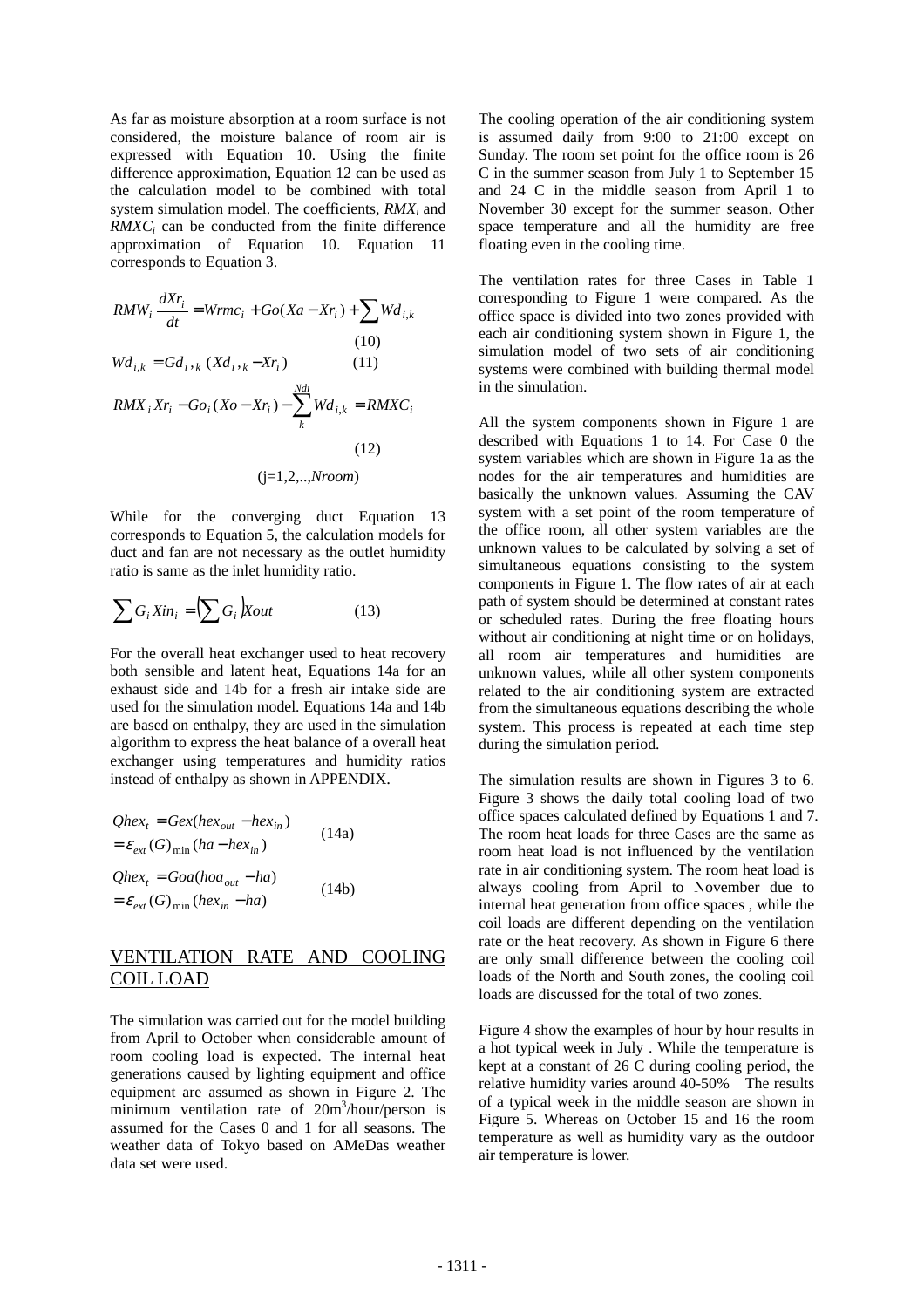As far as moisture absorption at a room surface is not considered, the moisture balance of room air is expressed with Equation 10. Using the finite difference approximation, Equation 12 can be used as the calculation model to be combined with total system simulation model. The coefficients, *RMXi* and *RMXC<sub>i</sub>* can be conducted from the finite difference approximation of Equation 10. Equation 11 corresponds to Equation 3.

$$
RMW_i \frac{dXr_i}{dt} = Wrmc_i + Go(Xa - Xr_i) + \sum Wd_{i,k}
$$
\n(10)  
\n
$$
Wd_{i,k} = Gd_i, _k(Xd_i, _k - Xr_i)
$$
\n(11)  
\n
$$
RMX_i Xr_i - Go_i(Xo - Xr_i) - \sum_k^{Ndi} Wd_{i,k} = RMXC_i
$$
\n(12)  
\n(12)  
\n(12)  
\n(13, ..., Nroom)

While for the converging duct Equation 13 corresponds to Equation 5, the calculation models for duct and fan are not necessary as the outlet humidity ratio is same as the inlet humidity ratio.

$$
\sum G_i X in_i = \left(\sum G_i\right) X out \tag{13}
$$

For the overall heat exchanger used to heat recovery both sensible and latent heat, Equations 14a for an exhaust side and 14b for a fresh air intake side are used for the simulation model. Equations 14a and 14b are based on enthalpy, they are used in the simulation algorithm to express the heat balance of a overall heat exchanger using temperatures and humidity ratios instead of enthalpy as shown in APPENDIX.

$$
Qhext = Gex(hexout - hexin)
$$
\n
$$
= \varepsilon_{ext}(G)_{min}(ha - hexin)
$$
\n(14a)\n
$$
Qhext = Goa(hoaout - ha)
$$
\n
$$
= \varepsilon_{ext}(G)_{min}(hexin - ha)
$$
\n(14b)

## VENTILATION RATE AND COOLING COIL LOAD

The simulation was carried out for the model building from April to October when considerable amount of room cooling load is expected. The internal heat generations caused by lighting equipment and office equipment are assumed as shown in Figure 2. The minimum ventilation rate of 20m<sup>3</sup>/hour/person is assumed for the Cases 0 and 1 for all seasons. The weather data of Tokyo based on AMeDas weather data set were used.

The cooling operation of the air conditioning system is assumed daily from 9:00 to 21:00 except on Sunday. The room set point for the office room is 26 C in the summer season from July 1 to September 15 and 24 C in the middle season from April 1 to November 30 except for the summer season. Other space temperature and all the humidity are free floating even in the cooling time.

The ventilation rates for three Cases in Table 1 corresponding to Figure 1 were compared. As the office space is divided into two zones provided with each air conditioning system shown in Figure 1, the simulation model of two sets of air conditioning systems were combined with building thermal model in the simulation.

All the system components shown in Figure 1 are described with Equations 1 to 14. For Case 0 the system variables which are shown in Figure 1a as the nodes for the air temperatures and humidities are basically the unknown values. Assuming the CAV system with a set point of the room temperature of the office room, all other system variables are the unknown values to be calculated by solving a set of simultaneous equations consisting to the system components in Figure 1. The flow rates of air at each path of system should be determined at constant rates or scheduled rates. During the free floating hours without air conditioning at night time or on holidays, all room air temperatures and humidities are unknown values, while all other system components related to the air conditioning system are extracted from the simultaneous equations describing the whole system. This process is repeated at each time step during the simulation period.

The simulation results are shown in Figures 3 to 6. Figure 3 shows the daily total cooling load of two office spaces calculated defined by Equations 1 and 7. The room heat loads for three Cases are the same as room heat load is not influenced by the ventilation rate in air conditioning system. The room heat load is always cooling from April to November due to internal heat generation from office spaces , while the coil loads are different depending on the ventilation rate or the heat recovery. As shown in Figure 6 there are only small difference between the cooling coil loads of the North and South zones, the cooling coil loads are discussed for the total of two zones.

Figure 4 show the examples of hour by hour results in a hot typical week in July . While the temperature is kept at a constant of 26 C during cooling period, the relative humidity varies around 40-50% The results of a typical week in the middle season are shown in Figure 5. Whereas on October 15 and 16 the room temperature as well as humidity vary as the outdoor air temperature is lower.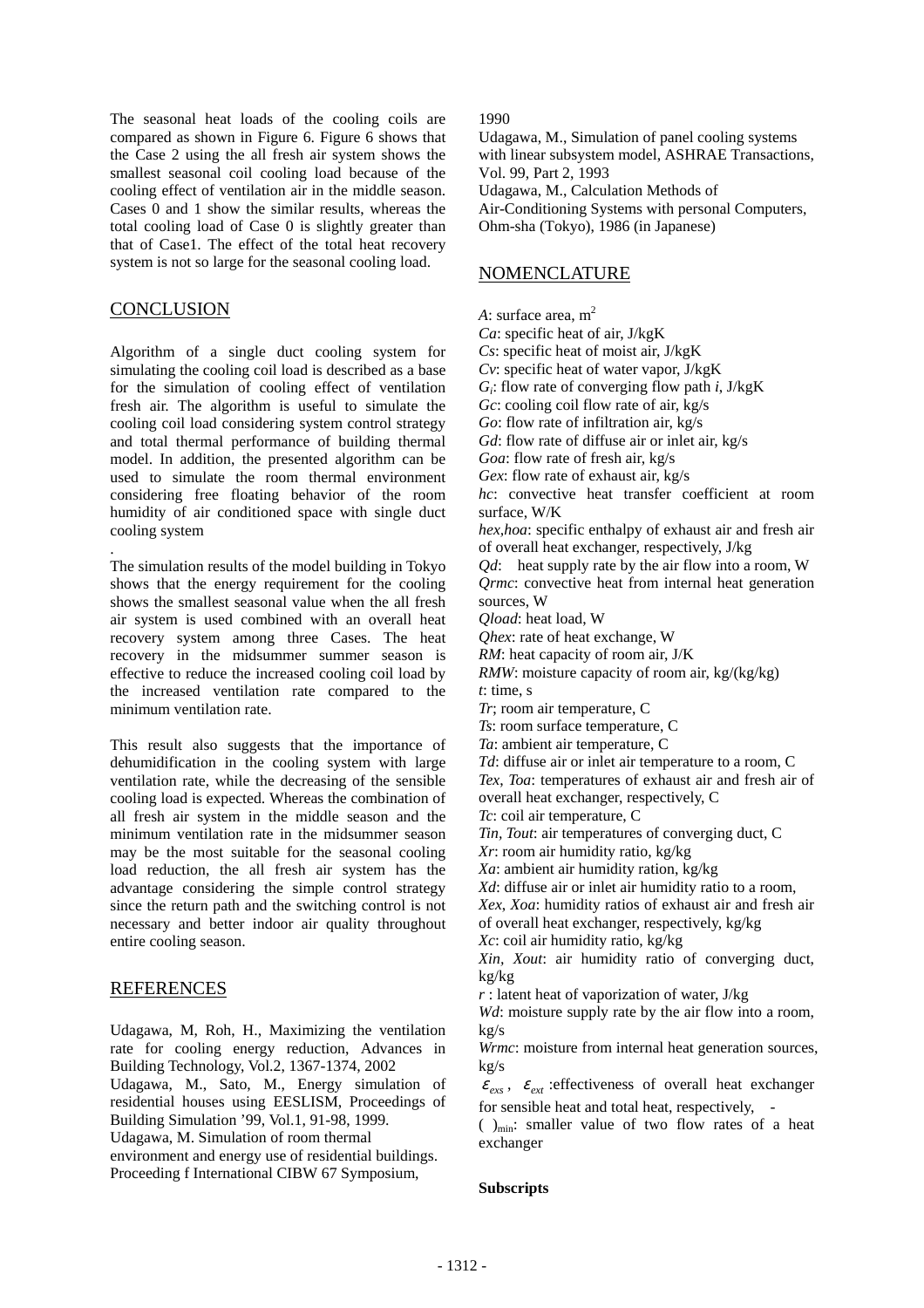The seasonal heat loads of the cooling coils are compared as shown in Figure 6. Figure 6 shows that the Case 2 using the all fresh air system shows the smallest seasonal coil cooling load because of the cooling effect of ventilation air in the middle season. Cases 0 and 1 show the similar results, whereas the total cooling load of Case 0 is slightly greater than that of Case1. The effect of the total heat recovery system is not so large for the seasonal cooling load.

#### **CONCLUSION**

Algorithm of a single duct cooling system for simulating the cooling coil load is described as a base for the simulation of cooling effect of ventilation fresh air. The algorithm is useful to simulate the cooling coil load considering system control strategy and total thermal performance of building thermal model. In addition, the presented algorithm can be used to simulate the room thermal environment considering free floating behavior of the room humidity of air conditioned space with single duct cooling system

. The simulation results of the model building in Tokyo shows that the energy requirement for the cooling shows the smallest seasonal value when the all fresh air system is used combined with an overall heat recovery system among three Cases. The heat recovery in the midsummer summer season is effective to reduce the increased cooling coil load by the increased ventilation rate compared to the minimum ventilation rate.

This result also suggests that the importance of dehumidification in the cooling system with large ventilation rate, while the decreasing of the sensible cooling load is expected. Whereas the combination of all fresh air system in the middle season and the minimum ventilation rate in the midsummer season may be the most suitable for the seasonal cooling load reduction, the all fresh air system has the advantage considering the simple control strategy since the return path and the switching control is not necessary and better indoor air quality throughout entire cooling season.

# **REFERENCES**

Udagawa, M, Roh, H., Maximizing the ventilation rate for cooling energy reduction, Advances in Building Technology, Vol.2, 1367-1374, 2002 Udagawa, M., Sato, M., Energy simulation of residential houses using EESLISM, Proceedings of Building Simulation '99, Vol.1, 91-98, 1999. Udagawa, M. Simulation of room thermal environment and energy use of residential buildings. Proceeding f International CIBW 67 Symposium,

1990

Udagawa, M., Simulation of panel cooling systems with linear subsystem model, ASHRAE Transactions, Vol. 99, Part 2, 1993 Udagawa, M., Calculation Methods of Air-Conditioning Systems with personal Computers, Ohm-sha (Tokyo), 1986 (in Japanese)

## NOMENCLATURE

*A*: surface area,  $m<sup>2</sup>$ *Ca*: specific heat of air, J/kgK *Cs*: specific heat of moist air, J/kgK *Cv*: specific heat of water vapor, J/kgK *Gi*: flow rate of converging flow path *i*, J/kgK *Gc*: cooling coil flow rate of air, kg/s *Go*: flow rate of infiltration air, kg/s *Gd*: flow rate of diffuse air or inlet air, kg/s *Goa*: flow rate of fresh air, kg/s *Gex*: flow rate of exhaust air, kg/s *hc*: convective heat transfer coefficient at room surface, W/K *hex,hoa*: specific enthalpy of exhaust air and fresh air of overall heat exchanger, respectively, J/kg *Qd*: heat supply rate by the air flow into a room, W *Ormc:* convective heat from internal heat generation sources, W *Qload*: heat load, W *Qhex*: rate of heat exchange, W *RM*: heat capacity of room air, J/K *RMW*: moisture capacity of room air, kg/(kg/kg) *t*: time, s *Tr*; room air temperature, C *Ts*: room surface temperature, C *Ta*: ambient air temperature, C *Td*: diffuse air or inlet air temperature to a room, C *Tex*, *Toa*: temperatures of exhaust air and fresh air of overall heat exchanger, respectively, C *Tc*: coil air temperature, C *Tin, Tout*: air temperatures of converging duct, C *Xr*: room air humidity ratio, kg/kg *Xa*: ambient air humidity ration, kg/kg *Xd*: diffuse air or inlet air humidity ratio to a room, *Xex*, *Xoa*: humidity ratios of exhaust air and fresh air of overall heat exchanger, respectively, kg/kg *Xc*: coil air humidity ratio, kg/kg *Xin, Xout*: air humidity ratio of converging duct, kg/kg *r* : latent heat of vaporization of water, J/kg *Wd*: moisture supply rate by the air flow into a room, kg/s *Wrmc*: moisture from internal heat generation sources, kg/s  $\varepsilon_{\text{ex}}$ ,  $\varepsilon_{\text{ext}}$  : effectiveness of overall heat exchanger for sensible heat and total heat, respectively, -  $( )_{min}$ : smaller value of two flow rates of a heat

## **Subscripts**

exchanger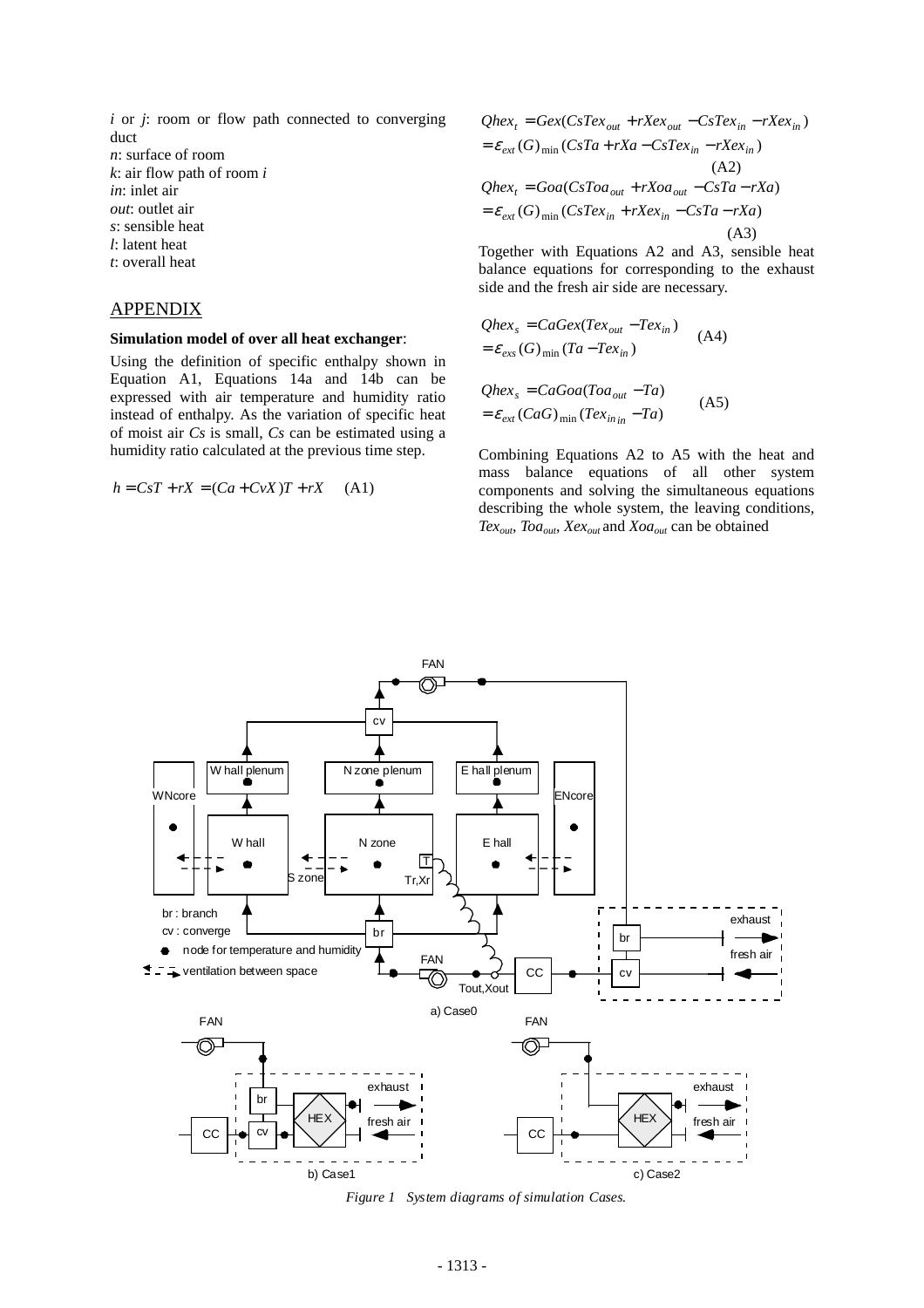*i* or *j*: room or flow path connected to converging duct *n*: surface of room *k*: air flow path of room *i in*: inlet air *out*: outlet air *s*: sensible heat *l*: latent heat *t*: overall heat

#### APPENDIX

#### **Simulation model of over all heat exchanger**:

Using the definition of specific enthalpy shown in Equation A1, Equations 14a and 14b can be expressed with air temperature and humidity ratio instead of enthalpy. As the variation of specific heat of moist air *Cs* is small, *Cs* can be estimated using a humidity ratio calculated at the previous time step.

$$
h = CsT + rX = (Ca + CvX)T + rX \quad (A1)
$$

$$
Qhex_t = Gex(CsTex_{out} + rXex_{out} - CsTex_{in} - rXex_{in})
$$
  
=  $\varepsilon_{ext}(G)_{min}(CsTa + rXa - CsTex_{in} - rXex_{in})$   
(A2)  
 $Qhex_t = Goa(CsToa_{out} + rXoa_{out} - CsTa - rXa)$   
=  $\varepsilon_{ext}(G)_{min}(CsTex_{in} + rXex_{in} - CsTa - rXa)$   
(A3)

Together with Equations A2 and A3, sensible heat balance equations for corresponding to the exhaust side and the fresh air side are necessary.

$$
Qhex_s = CaGex(Tex_{out} - Tex_{in})
$$
\n
$$
= \varepsilon_{exs}(G)_{\min}(Ta - Tex_{in})
$$
\n
$$
Qhex_s = CaGoa(Toa_{out} - Ta)
$$
\n
$$
= \varepsilon_{ext}(CaG)_{\min}(Texas_{inin} - Ta)
$$
\n(A5)

Combining Equations A2 to A5 with the heat and mass balance equations of all other system components and solving the simultaneous equations describing the whole system, the leaving conditions, *Texout*, *Toaout*, *Xexout* and *Xoaout* can be obtained



*Figure 1 System diagrams of simulation Cases.*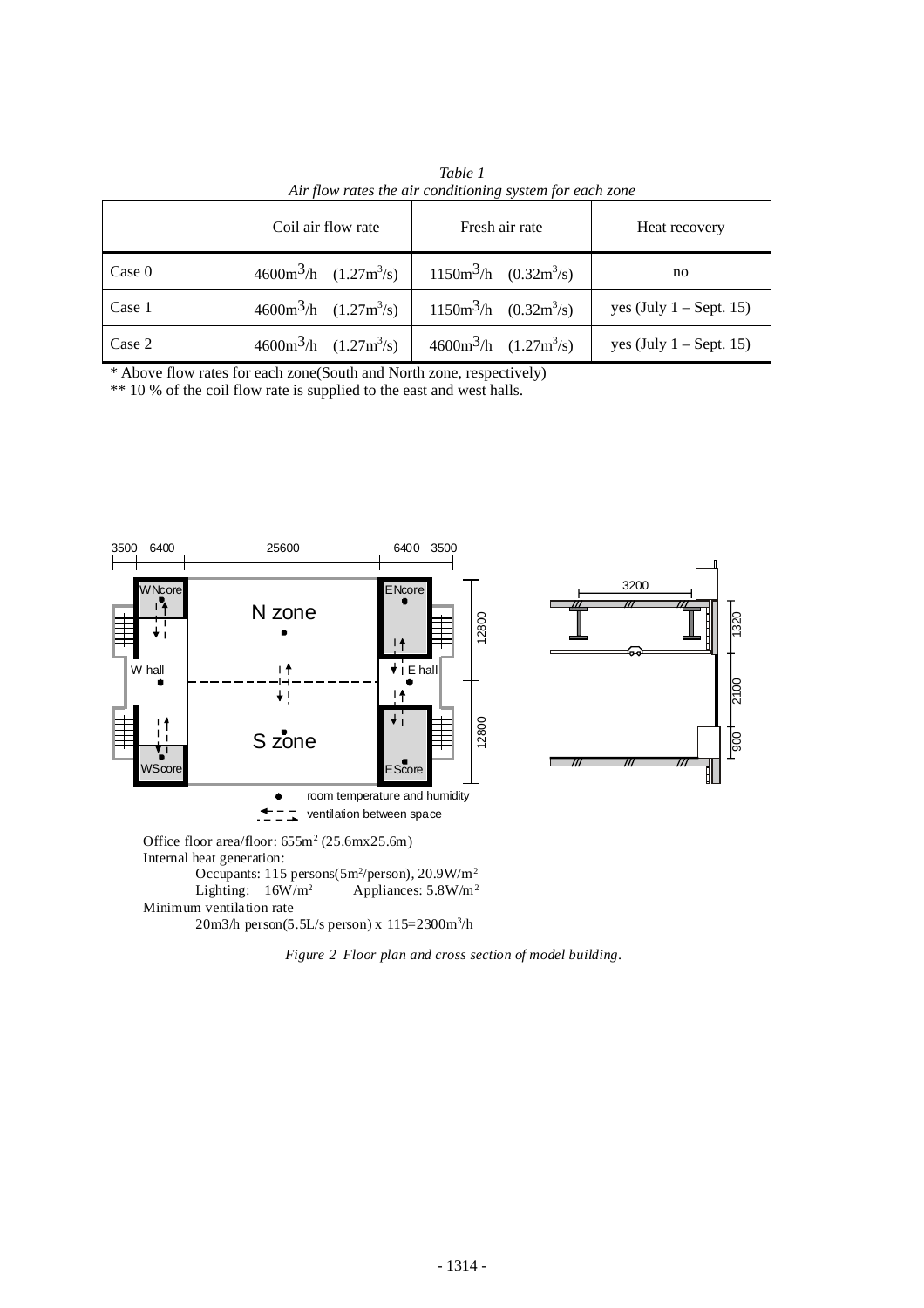| The flow rates the air conditioning system for each gone |                                                         |                                                         |                           |
|----------------------------------------------------------|---------------------------------------------------------|---------------------------------------------------------|---------------------------|
|                                                          | Coil air flow rate                                      | Fresh air rate                                          | Heat recovery             |
| Case 0                                                   | $4600 \text{m}^3/\text{h}$ $(1.27 \text{m}^3/\text{s})$ | $1150m^3/h$ (0.32m <sup>3</sup> /s)                     | no                        |
| Case 1                                                   | $4600 \text{m}^3/\text{h}$ $(1.27 \text{m}^3/\text{s})$ | $1150m^3/h$ (0.32m <sup>3</sup> /s)                     | yes (July $1 -$ Sept. 15) |
| Case 2                                                   | $4600 \text{m}^3/\text{h}$ $(1.27 \text{m}^3/\text{s})$ | $4600 \text{m}^3/\text{h}$ $(1.27 \text{m}^3/\text{s})$ | yes (July $1 -$ Sept. 15) |

*Table 1 Air flow rates the air conditioning system for each zone* 

\* Above flow rates for each zone(South and North zone, respectively)

\*\* 10 % of the coil flow rate is supplied to the east and west halls.



*Figure 2 Floor plan and cross section of model building*.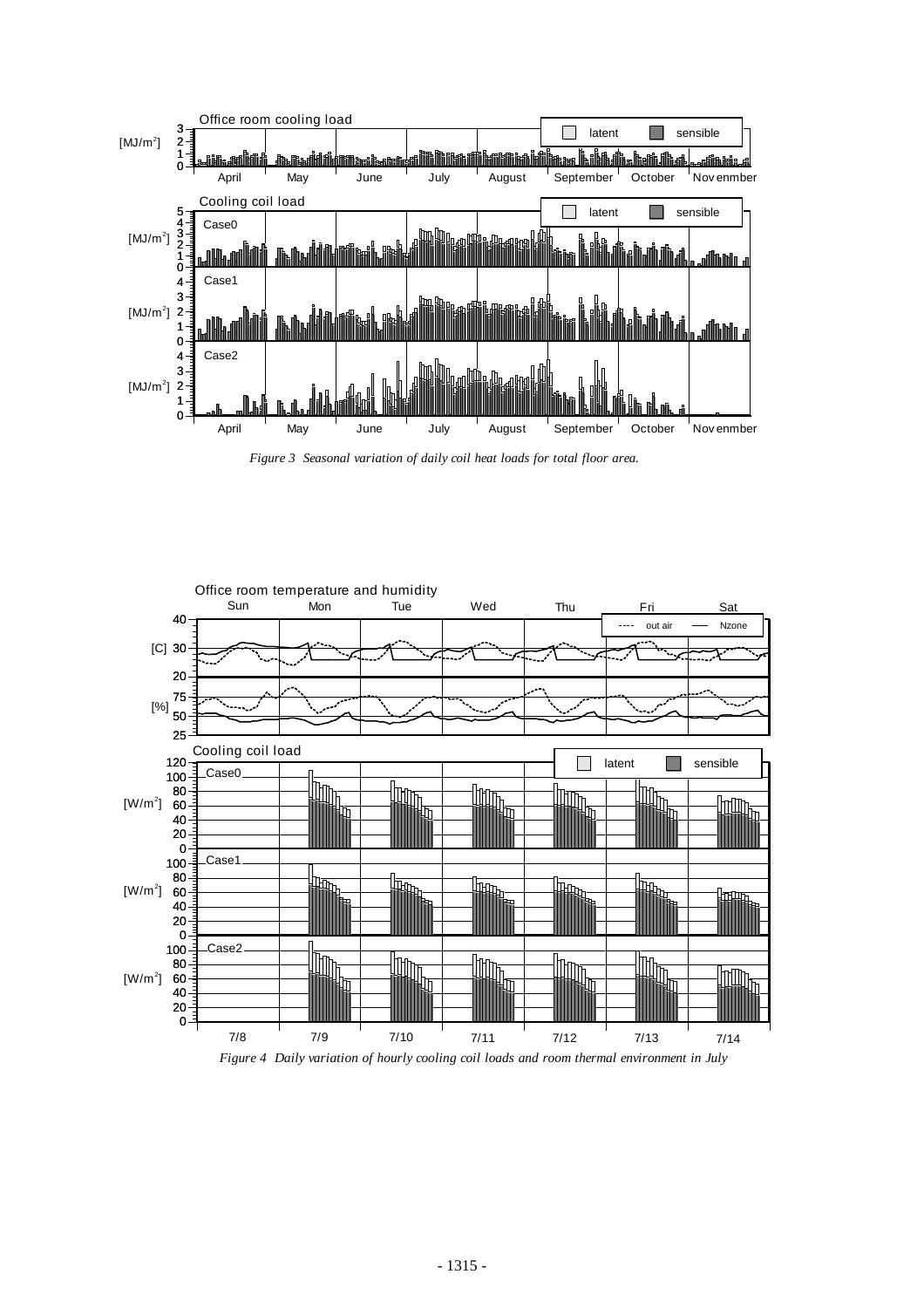

*Figure 3 Seasonal variation of daily coil heat loads for total floor area.*